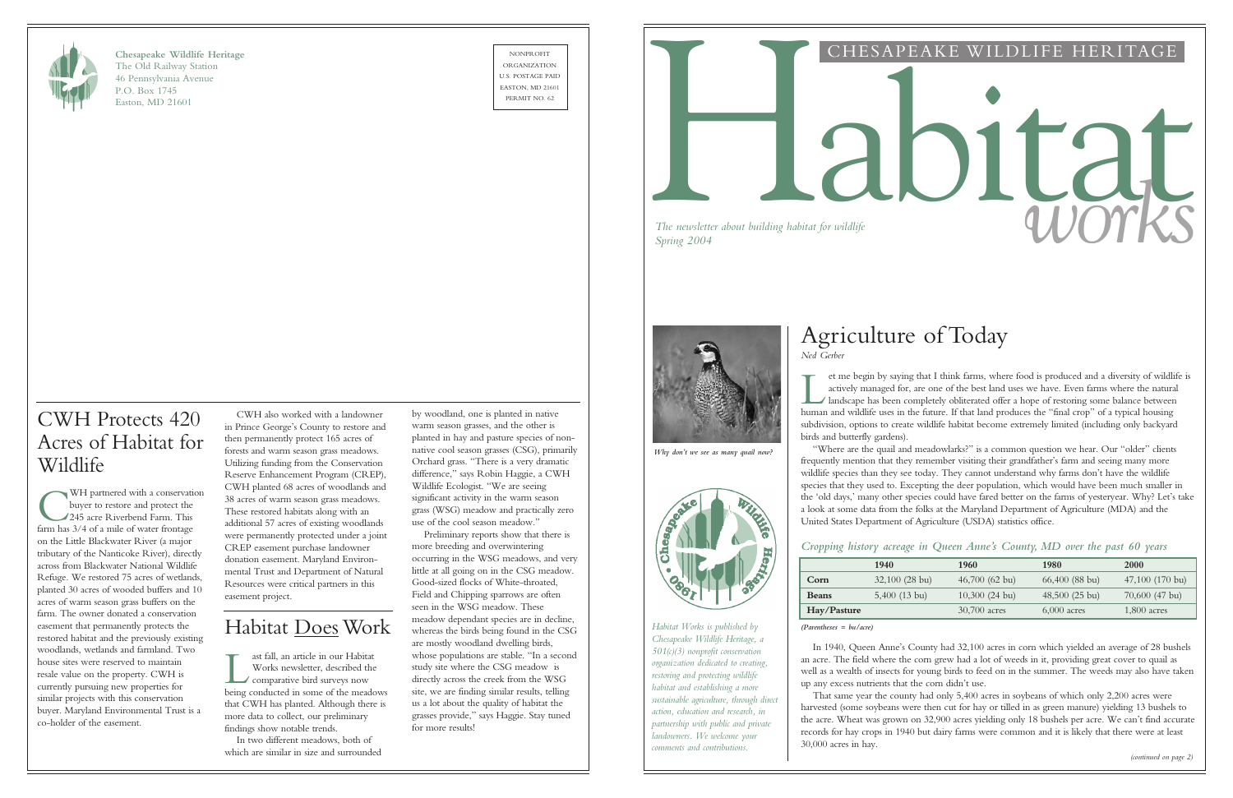

**Chesapeake Wildlife Heritage** The Old Railway Station 46 Pennsylvania Avenue P.O. Box 1745 Easton, MD 21601

NONPROFIT ORGANIZATION U.S. POSTAGE PAID EASTON, MD 21601



## CHESAPEAKE WILDLIFE HERITAGE

# *The newsletter about building habitat for wildlife*<br>Spring 2004

| re in Queen Anne's County, MD over the past 60 years |  |  |  |  |
|------------------------------------------------------|--|--|--|--|
|------------------------------------------------------|--|--|--|--|

*The newsletter about building habitat for wildlife*

# Agriculture of Today *Ned Gerber*

If the begin by saying that I think farms, where food is produced and a diversity of wildle actively managed for, are one of the best land uses we have. Even farms where the natural landscape has been completely obliterate et me begin by saying that I think farms, where food is produced and a diversity of wildlife is actively managed for, are one of the best land uses we have. Even farms where the natural landscape has been completely obliterated offer a hope of restoring some balance between subdivision, options to create wildlife habitat become extremely limited (including only backyard birds and butterfly gardens).

"Where are the quail and meadowlarks?" is a common question we hear. Our "older" clients frequently mention that they remember visiting their grandfather's farm and seeing many more wildlife species than they see today. They cannot understand why farms don't have the wildlife species that they used to. Excepting the deer population, which would have been much smaller in the 'old days,' many other species could have fared better on the farms of yesteryear. Why? Let's take a look at some data from the folks at the Maryland Department of Agriculture (MDA) and the United States Department of Agriculture (USDA) statistics office.

### *Cropping history acreage*

|              | 1940             | 1960             | 1980             | <b>2000</b>       |
|--------------|------------------|------------------|------------------|-------------------|
| Corn         | $32,100$ (28 bu) | $46,700$ (62 bu) | $66,400$ (88 bu) | $47,100$ (170 bu) |
| <b>Beans</b> | $5,400$ (13 bu)  | $10,300$ (24 bu) | $48,500(25)$ bu) | $70,600$ (47 bu)  |
| Hay/Pasture  |                  | 30,700 acres     | $6,000$ acres    | $1,800$ acres     |

*(Parentheses = bu/acre)*

I ast fall, an article in our Habitat<br>Works newsletter, described the<br>comparative bird surveys now<br>being conducted in some of the meadows ast fall, an article in our Habitat Works newsletter, described the comparative bird surveys now that CWH has planted. Although there is more data to collect, our preliminary findings show notable trends.

In 1940, Queen Anne's County had 32,100 acres in corn which yielded an average of 28 bushels an acre. The field where the corn grew had a lot of weeds in it, providing great cover to quail as well as a wealth of insects for young birds to feed on in the summer. The weeds may also have taken up any excess nutrients that the corn didn't use.

That same year the county had only 5,400 acres in soybeans of which only 2,200 acres were harvested (some soybeans were then cut for hay or tilled in as green manure) yielding 13 bushels to the acre. Wheat was grown on 32,900 acres yielding only 18 bushels per acre. We can't find accurate records for hay crops in 1940 but dairy farms were common and it is likely that there were at least

WH partnered with a conservation buyer to restore and protect the 245 acre Riverbend Farm. This farm has  $3/4$  of a mile of water frontage WH partnered with a conservation buyer to restore and protect the 245 acre Riverbend Farm. This on the Little Blackwater River (a major tributary of the Nanticoke River), directly across from Blackwater National Wildlife Refuge. We restored 75 acres of wetlands, planted 30 acres of wooded buffers and 10 acres of warm season grass buffers on the farm. The owner donated a conservation easement that permanently protects the restored habitat and the previously existing woodlands, wetlands and farmland. Two house sites were reserved to maintain resale value on the property. CWH is currently pursuing new properties for similar projects with this conservation buyer. Maryland Environmental Trust is a co-holder of the easement.

30,000 acres in hay.

*Habitat Works is published by Chesapeake Wildlife Heritage, a 501(c)(3) nonprofit conservation organization dedicated to creating, restoring and protecting wildlife habitat and establishing a more sustainable agriculture, through direct action, education and research, in partnership with public and private landowners. We welcome your comments and contributions.*

CWH also worked with a landowner in Prince George's County to restore and then permanently protect 165 acres of forests and warm season grass meadows. Utilizing funding from the Conservation Reserve Enhancement Program (CREP), CWH planted 68 acres of woodlands and 38 acres of warm season grass meadows. These restored habitats along with an additional 57 acres of existing woodlands were permanently protected under a joint CREP easement purchase landowner donation easement. Maryland Environmental Trust and Department of Natural Resources were critical partners in this easement project.

# Habitat DoesWork

In two different meadows, both of which are similar in size and surrounded

# CWH Protects 420 Acres of Habitat for Wildlife

by woodland, one is planted in native warm season grasses, and the other is planted in hay and pasture species of nonnative cool season grasses (CSG), primarily Orchard grass. "There is a very dramatic difference," says Robin Haggie, a CWH Wildlife Ecologist. "We are seeing significant activity in the warm season grass (WSG) meadow and practically zero use of the cool season meadow."

Preliminary reports show that there is more breeding and overwintering occurring in the WSG meadows, and very little at all going on in the CSG meadow. Good-sized flocks of White-throated, Field and Chipping sparrows are often seen in the WSG meadow. These meadow dependant species are in decline, whereas the birds being found in the CSG are mostly woodland dwelling birds, whose populations are stable. "In a second study site where the CSG meadow is directly across the creek from the WSG site, we are finding similar results, telling us a lot about the quality of habitat the grasses provide," says Haggie. Stay tuned for more results!



*Why don't we see as many quail now?*

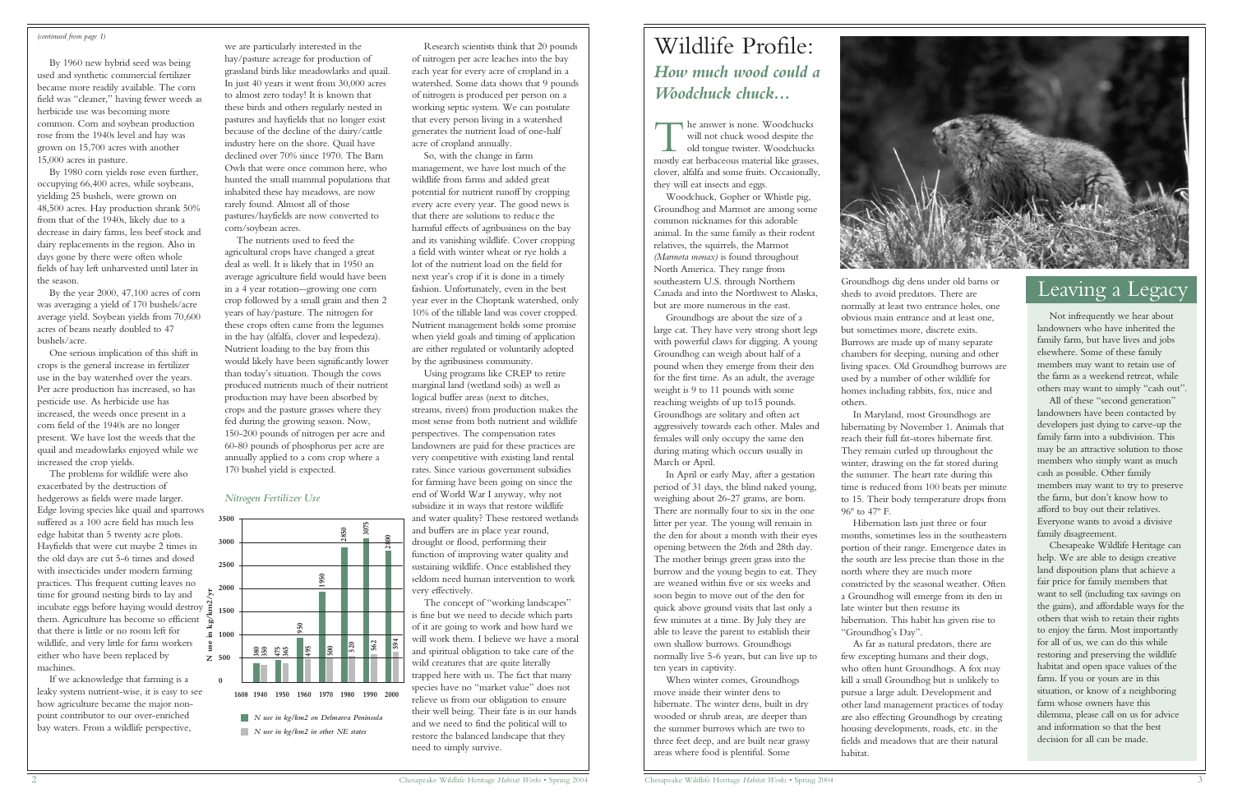# Wildlife Profile: *How much wood could a Woodchuck chuck...*

The answer is none. Woodchucks<br>
will not chuck wood despite the<br>
old tongue twister. Woodchucks<br>
mostly eat herbaceous material like grasses, he answer is none. Woodchucks will not chuck wood despite the old tongue twister. Woodchucks clover, alfalfa and some fruits. Occasionally, they will eat insects and eggs.

Woodchuck, Gopher or Whistle pig, Groundhog and Marmot are among some common nicknames for this adorable animal. In the same family as their rodent relatives, the squirrels, the Marmot *(Marmota monax)* is found throughout North America. They range from southeastern U.S. through Northern Canada and into the Northwest to Alaska, but are more numerous in the east.

Groundhogs are about the size of a large cat. They have very strong short legs with powerful claws for digging. A young Groundhog can weigh about half of a pound when they emerge from their den for the first time. As an adult, the average weight is 9 to 11 pounds with some reaching weights of up to15 pounds. Groundhogs are solitary and often act aggressively towards each other. Males and females will only occupy the same den during mating which occurs usually in March or April.

In April or early May, after a gestation period of 31 days, the blind naked young, weighing about 26-27 grams, are born. There are normally four to six in the one litter per year. The young will remain in the den for about a month with their eyes opening between the 26th and 28th day. The mother brings green grass into the burrow and the young begin to eat. They are weaned within five or six weeks and soon begin to move out of the den for quick above ground visits that last only a few minutes at a time. By July they are able to leave the parent to establish their own shallow burrows. Groundhogs normally live 5-6 years, but can live up to ten years in captivity.

When winter comes, Groundhogs move inside their winter dens to hibernate. The winter dens, built in dry wooded or shrub areas, are deeper than the summer burrows which are two to three feet deep, and are built near grassy areas where food is plentiful. Some



Groundhogs dig dens under old barns or sheds to avoid predators. There are normally at least two entrance holes, one obvious main entrance and at least one, but sometimes more, discrete exits. Burrows are made up of many separate chambers for sleeping, nursing and other living spaces. Old Groundhog burrows are used by a number of other wildlife for homes including rabbits, fox, mice and others.

In Maryland, most Groundhogs are hibernating by November 1. Animals that reach their full fat-stores hibernate first. They remain curled up throughout the winter, drawing on the fat stored during the summer. The heart rate during this time is reduced from 100 beats per minute to 15. Their body temperature drops from 96º to 47º F.

Hibernation lasts just three or four months, sometimes less in the southeastern portion of their range. Emergence dates in the south are less precise than those in the north where they are much more constricted by the seasonal weather. Often a Groundhog will emerge from its den in late winter but then resume its hibernation. This habit has given rise to "Groundhog's Day".

As far as natural predators, there are few excepting humans and their dogs, who often hunt Groundhogs. A fox may kill a small Groundhog but is unlikely to pursue a large adult. Development and other land management practices of today are also effecting Groundhogs by creating housing developments, roads, etc. in the fields and meadows that are their natural

habitat.

# Leaving a Legacy

Not infrequently we hear about landowners who have inherited the family farm, but have lives and jobs elsewhere. Some of these family members may want to retain use of the farm as a weekend retreat, while others may want to simply "cash out".

All of these "second generation" landowners have been contacted by developers just dying to carve-up the family farm into a subdivision. This may be an attractive solution to those members who simply want as much cash as possible. Other family members may want to try to preserve the farm, but don't know how to afford to buy out their relatives. Everyone wants to avoid a divisive family disagreement.

Chesapeake Wildlife Heritage can help. We are able to design creative land disposition plans that achieve a fair price for family members that want to sell (including tax savings on the gains), and affordable ways for the others that wish to retain their rights to enjoy the farm. Most importantly for all of us, we can do this while restoring and preserving the wildlife habitat and open space values of the farm. If you or yours are in this situation, or know of a neighboring farm whose owners have this dilemma, please call on us for advice and information so that the best decision for all can be made.

By 1960 new hybrid seed was being used and synthetic commercial fertilizer became more readily available. The corn field was "cleaner," having fewer weeds as herbicide use was becoming more common. Corn and soybean production rose from the 1940s level and hay was grown on 15,700 acres with another 15,000 acres in pasture.

By 1980 corn yields rose even further, occupying 66,400 acres, while soybeans, yielding 25 bushels, were grown on 48,500 acres. Hay production shrank 50% from that of the 1940s, likely due to a decrease in dairy farms, less beef stock and dairy replacements in the region. Also in days gone by there were often whole fields of hay left unharvested until later in the season.

By the year 2000, 47,100 acres of corn was averaging a yield of 170 bushels/acre average yield. Soybean yields from 70,600 acres of beans nearly doubled to 47 bushels/acre.

One serious implication of this shift in crops is the general increase in fertilizer use in the bay watershed over the years. Per acre production has increased, so has pesticide use. As herbicide use has increased, the weeds once present in a corn field of the 1940s are no longer present. We have lost the weeds that the quail and meadowlarks enjoyed while we increased the crop yields.

The problems for wildlife were also exacerbated by the destruction of hedgerows as fields were made larger. Edge loving species like quail and sparrows suffered as a 100 acre field has much less edge habitat than 5 twenty acre plots. Hayfields that were cut maybe 2 times in the old days are cut 5-6 times and dosed with insecticides under modern farming practices. This frequent cutting leaves no time for ground nesting birds to lay and time for ground nesting birds to lay and  $\zeta$ <br>incubate eggs before haying would destroy them. Agriculture has become so efficient that there is little or no room left for wildlife, and very little for farm workers either who have been replaced by machines.

If we acknowledge that farming is a leaky system nutrient-wise, it is easy to see how agriculture became the major nonpoint contributor to our over-enriched bay waters. From a wildlife perspective,

we are particularly interested in the hay/pasture acreage for production of grassland birds like meadowlarks and quail. In just 40 years it went from 30,000 acres to almost zero today! It is known that these birds and others regularly nested in pastures and hayfields that no longer exist because of the decline of the dairy/cattle industry here on the shore. Quail have declined over 70% since 1970. The Barn Owls that were once common here, who hunted the small mammal populations that inhabited these hay meadows, are now rarely found. Almost all of those pastures/hayfields are now converted to corn/soybean acres.

The nutrients used to feed the agricultural crops have changed a great deal as well. It is likely that in 1950 an average agriculture field would have been in a 4 year rotation--growing one corn crop followed by a small grain and then 2 years of hay/pasture. The nitrogen for these crops often came from the legumes in the hay (alfalfa, clover and lespedeza). Nutrient loading to the bay from this would likely have been significantly lower than today's situation. Though the cows produced nutrients much of their nutrient production may have been absorbed by crops and the pasture grasses where they fed during the growing season. Now, 150-200 pounds of nitrogen per acre and 60-80 pounds of phosphorus per acre are annually applied to a corn crop where a 170 bushel yield is expected.

Research scientists think that 20 pounds of nitrogen per acre leaches into the bay each year for every acre of cropland in a watershed. Some data shows that 9 pounds of nitrogen is produced per person on a working septic system. We can postulate that every person living in a watershed generates the nutrient load of one-half acre of cropland annually.

So, with the change in farm management, we have lost much of the wildlife from farms and added great potential for nutrient runoff by cropping every acre every year. The good news is that there are solutions to reduce the harmful effects of agribusiness on the bay and its vanishing wildlife. Cover cropping a field with winter wheat or rye holds a lot of the nutrient load on the field for next year's crop if it is done in a timely fashion. Unfortunately, even in the best year ever in the Choptank watershed, only 10% of the tillable land was cover cropped. Nutrient management holds some promise when yield goals and timing of application are either regulated or voluntarily adopted by the agribusiness community.

Using programs like CREP to retire marginal land (wetland soils) as well as logical buffer areas (next to ditches, streams, rivers) from production makes the most sense from both nutrient and wildlife perspectives. The compensation rates landowners are paid for these practices are very competitive with existing land rental rates. Since various government subsidies for farming have been going on since the end of World War I anyway, why not subsidize it in ways that restore wildlife and water quality? These restored wetlands and buffers are in place year round, drought or flood, performing their function of improving water quality and sustaining wildlife. Once established they seldom need human intervention to work very effectively.

The concept of "working landscapes" is fine but we need to decide which parts of it are going to work and how hard we will work them. I believe we have a moral and spiritual obligation to take care of the wild creatures that are quite literally trapped here with us. The fact that many species have no "market value" does not relieve us from our obligation to ensure their well being. Their fate is in our hands and we need to find the political will to restore the balanced landscape that they need to simply survive.



### *(continued from page 1)*



### *Nitrogen Fertilizer Use*

*N use in kg/km2 on Delmarva Peninsula N use in kg/km2 in other NE states*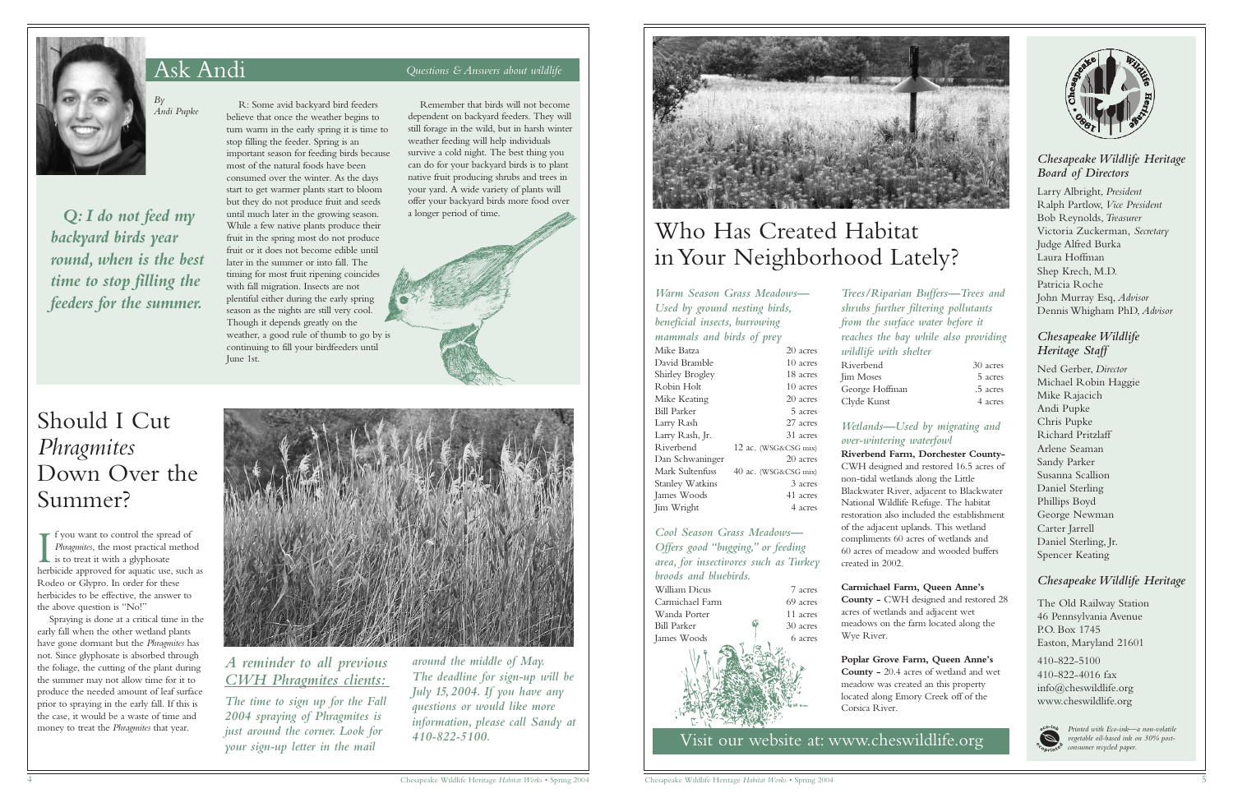

# Ask Andi *Questions & Answers about wildlife*

*By Andi Pupke*

*Q: I do not feed my backyard birds year round, when is the best time to stop filling the feeders for the summer.*

R: Some avid backyard bird feeders believe that once the weather begins to turn warm in the early spring it is time to stop filling the feeder. Spring is an important season for feeding birds because most of the natural foods have been consumed over the winter. As the days start to get warmer plants start to bloom but they do not produce fruit and seeds until much later in the growing season. While a few native plants produce their fruit in the spring most do not produce fruit or it does not become edible until later in the summer or into fall. The timing for most fruit ripening coincides with fall migration. Insects are not plentiful either during the early spring season as the nights are still very cool. Though it depends greatly on the weather, a good rule of thumb to go by is

continuing to fill your birdfeeders until

June 1st.

Remember that birds will not become dependent on backyard feeders. They will still forage in the wild, but in harsh winter weather feeding will help individuals survive a cold night. The best thing you can do for your backyard birds is to plant native fruit producing shrubs and trees in your yard. A wide variety of plants will offer your backyard birds more food over a longer period of time.



*wildlife with shelter* Riverbend Jim Moses George Hoffman Clyde Kunst

### *Chesapeake Wildlife Heritage Board of Directors*

Larry Albright, *President* Ralph Partlow, *Vice President* Bob Reynolds,*Treasurer* Victoria Zuckerman, *Secretary* Judge Alfred Burka Laura Hoffman Shep Krech, M.D. Patricia Roche John Murray Esq, *Advisor* Dennis Whigham PhD, *Advisor*

### *Chesapeake Wildlife Heritage Staff*

Ned Gerber, *Director* Michael Robin Haggie Mike Rajacich Andi Pupke Chris Pupke Richard Pritzlaff Arlene Seaman Sandy Parker Susanna Scallion Daniel Sterling Phillips Boyd George Newman Carter Jarrell Daniel Sterling, Jr. Spencer Keating

### *Chesapeake Wildlife Heritage*

The Old Railway Station 46 Pennsylvania Avenue P.O. Box 1745 Easton, Maryland 21601

I fyou want to control the spread of<br>*Phragmites*, the most practical method<br>is to treat it with a glyphosate<br>herbicide approved for aquatic use, such as f you want to control the spread of *Phragmites*, the most practical method  $\blacksquare$  is to treat it with a glyphosate Rodeo or Glypro. In order for these herbicides to be effective, the answer to the above question is "No!"

> 410-822-5100 410-822-4016 fax info@cheswildlife.org www.cheswildlife.org



Visit our website at: www.cheswildlife.org

*Trees/Riparian Buffers—Trees and shrubs further filtering pollutants from the surface water before it reaches the bay while also providing*

| <i>S</i> U acres |
|------------------|
| 5 acres          |
| .5 acres         |
| 4 acres          |





### *Wetlands—Used by migrating and over-wintering waterfowl*

**Riverbend Farm, Dorchester County-**CWH designed and restored 16.5 acres of non-tidal wetlands along the Little Blackwater River, adjacent to Blackwater National Wildlife Refuge. The habitat restoration also included the establishment of the adjacent uplands. This wetland compliments 60 acres of wetlands and 60 acres of meadow and wooded buffers created in 2002.

### **Carmichael Farm, Queen Anne's**

**County -** CWH designed and restored 28 acres of wetlands and adjacent wet meadows on the farm located along the Wye River.

**Poplar Grove Farm, Queen Anne's County -** 20.4 acres of wetland and wet meadow was created an this property located along Emory Creek off of the Corsica River.

*Warm Season Grass Meadows— Used by ground nesting birds, beneficial insects, burrowing mammals and birds of prey*

| Mike Batza             | 20 acres             |
|------------------------|----------------------|
| David Bramble          | 10 acres             |
| Shirley Brogley        | 18 acres             |
| Robin Holt             | 10 acres             |
| Mike Keating           | 20 acres             |
| Bill Parker            | 5 acres              |
| Larry Rash             | 27 acres             |
| Larry Rash, Jr.        | 31 acres             |
| Riverbend              | 12 ac. (WSG&CSG mix) |
| Dan Schwaninger        | 20 acres             |
| Mark Sultenfuss        | 40 ac. (WSG&CSG mix) |
| <b>Stanley Watkins</b> | 3 acres              |
| James Woods            | 41 acres             |
| Jim Wright             | 4 acres              |
|                        |                      |

*Cool Season Grass Meadows— Offers good "bugging," or feeding area, for insectivores such as Turkey broods and bluebirds.*

| William Dicus      |  |  | 7 acres  |  |
|--------------------|--|--|----------|--|
| Carmichael Farm    |  |  | 69 acres |  |
| Wanda Porter       |  |  | 11 acres |  |
| <b>Bill Parker</b> |  |  | 30 acres |  |
| James Woods        |  |  | 6 acres  |  |
|                    |  |  |          |  |



# Who Has Created Habitat in Your Neighborhood Lately?

*Printed with Eco-ink—a non-volatile vegetable oil-based ink on 30% postconsumer recycled paper.*

Should I Cut *Phragmites* Down Over the Summer?

Spraying is done at a critical time in the early fall when the other wetland plants have gone dormant but the *Phragmites* has not. Since glyphosate is absorbed through the foliage, the cutting of the plant during the summer may not allow time for it to produce the needed amount of leaf surface prior to spraying in the early fall. If this is the case, it would be a waste of time and money to treat the *Phragmites* that year.



# *A reminder to all previous CWH Phragmites clients:*

*The time to sign up for the Fall 2004 spraying of Phragmites is just around the corner. Look for your sign-up letter in the mail*

*around the middle of May. The deadline for sign-up will be July 15,2004. If you have any questions or would like more information, please call Sandy at 410-822-5100.*